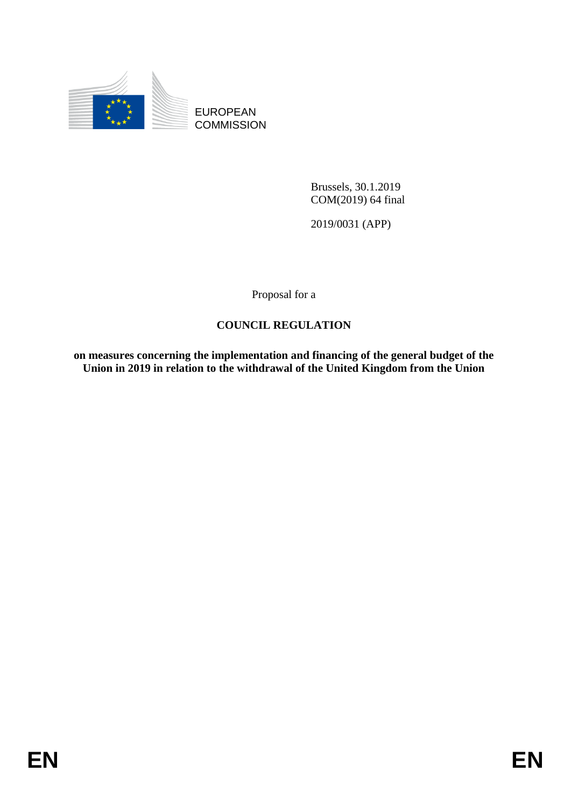

EUROPEAN **COMMISSION** 

> Brussels, 30.1.2019 COM(2019) 64 final

2019/0031 (APP)

Proposal for a

## **COUNCIL REGULATION**

**on measures concerning the implementation and financing of the general budget of the Union in 2019 in relation to the withdrawal of the United Kingdom from the Union**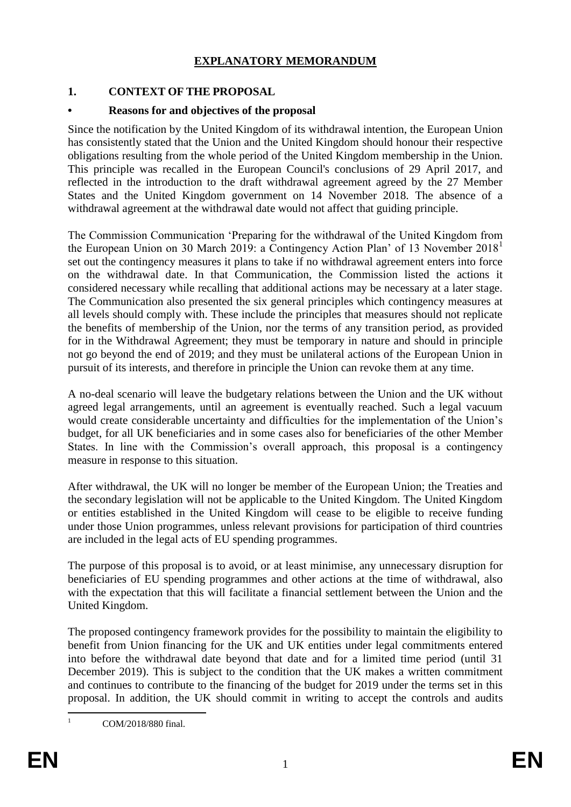## **EXPLANATORY MEMORANDUM**

### **1. CONTEXT OF THE PROPOSAL**

### **• Reasons for and objectives of the proposal**

Since the notification by the United Kingdom of its withdrawal intention, the European Union has consistently stated that the Union and the United Kingdom should honour their respective obligations resulting from the whole period of the United Kingdom membership in the Union. This principle was recalled in the European Council's conclusions of 29 April 2017, and reflected in the introduction to the draft withdrawal agreement agreed by the 27 Member States and the United Kingdom government on 14 November 2018. The absence of a withdrawal agreement at the withdrawal date would not affect that guiding principle.

The Commission Communication 'Preparing for the withdrawal of the United Kingdom from the European Union on 30 March 2019: a Contingency Action Plan' of 13 November 2018<sup>1</sup> set out the contingency measures it plans to take if no withdrawal agreement enters into force on the withdrawal date. In that Communication, the Commission listed the actions it considered necessary while recalling that additional actions may be necessary at a later stage. The Communication also presented the six general principles which contingency measures at all levels should comply with. These include the principles that measures should not replicate the benefits of membership of the Union, nor the terms of any transition period, as provided for in the Withdrawal Agreement; they must be temporary in nature and should in principle not go beyond the end of 2019; and they must be unilateral actions of the European Union in pursuit of its interests, and therefore in principle the Union can revoke them at any time.

A no-deal scenario will leave the budgetary relations between the Union and the UK without agreed legal arrangements, until an agreement is eventually reached. Such a legal vacuum would create considerable uncertainty and difficulties for the implementation of the Union's budget, for all UK beneficiaries and in some cases also for beneficiaries of the other Member States. In line with the Commission's overall approach, this proposal is a contingency measure in response to this situation.

After withdrawal, the UK will no longer be member of the European Union; the Treaties and the secondary legislation will not be applicable to the United Kingdom. The United Kingdom or entities established in the United Kingdom will cease to be eligible to receive funding under those Union programmes, unless relevant provisions for participation of third countries are included in the legal acts of EU spending programmes.

The purpose of this proposal is to avoid, or at least minimise, any unnecessary disruption for beneficiaries of EU spending programmes and other actions at the time of withdrawal, also with the expectation that this will facilitate a financial settlement between the Union and the United Kingdom.

The proposed contingency framework provides for the possibility to maintain the eligibility to benefit from Union financing for the UK and UK entities under legal commitments entered into before the withdrawal date beyond that date and for a limited time period (until 31 December 2019). This is subject to the condition that the UK makes a written commitment and continues to contribute to the financing of the budget for 2019 under the terms set in this proposal. In addition, the UK should commit in writing to accept the controls and audits

1

COM/2018/880 final.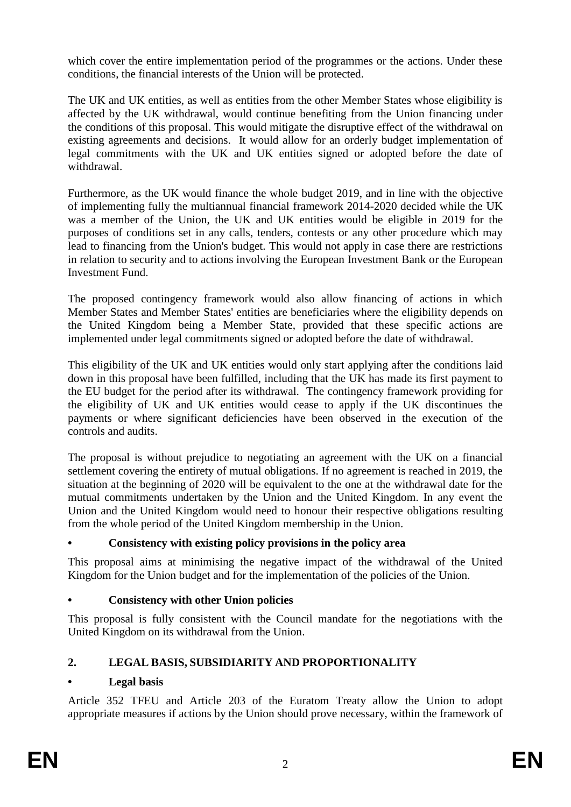which cover the entire implementation period of the programmes or the actions. Under these conditions, the financial interests of the Union will be protected.

The UK and UK entities, as well as entities from the other Member States whose eligibility is affected by the UK withdrawal, would continue benefiting from the Union financing under the conditions of this proposal. This would mitigate the disruptive effect of the withdrawal on existing agreements and decisions. It would allow for an orderly budget implementation of legal commitments with the UK and UK entities signed or adopted before the date of withdrawal.

Furthermore, as the UK would finance the whole budget 2019, and in line with the objective of implementing fully the multiannual financial framework 2014-2020 decided while the UK was a member of the Union, the UK and UK entities would be eligible in 2019 for the purposes of conditions set in any calls, tenders, contests or any other procedure which may lead to financing from the Union's budget. This would not apply in case there are restrictions in relation to security and to actions involving the European Investment Bank or the European Investment Fund.

The proposed contingency framework would also allow financing of actions in which Member States and Member States' entities are beneficiaries where the eligibility depends on the United Kingdom being a Member State, provided that these specific actions are implemented under legal commitments signed or adopted before the date of withdrawal.

This eligibility of the UK and UK entities would only start applying after the conditions laid down in this proposal have been fulfilled, including that the UK has made its first payment to the EU budget for the period after its withdrawal. The contingency framework providing for the eligibility of UK and UK entities would cease to apply if the UK discontinues the payments or where significant deficiencies have been observed in the execution of the controls and audits.

The proposal is without prejudice to negotiating an agreement with the UK on a financial settlement covering the entirety of mutual obligations. If no agreement is reached in 2019, the situation at the beginning of 2020 will be equivalent to the one at the withdrawal date for the mutual commitments undertaken by the Union and the United Kingdom. In any event the Union and the United Kingdom would need to honour their respective obligations resulting from the whole period of the United Kingdom membership in the Union.

### **• Consistency with existing policy provisions in the policy area**

This proposal aims at minimising the negative impact of the withdrawal of the United Kingdom for the Union budget and for the implementation of the policies of the Union.

### **• Consistency with other Union policies**

This proposal is fully consistent with the Council mandate for the negotiations with the United Kingdom on its withdrawal from the Union.

# **2. LEGAL BASIS, SUBSIDIARITY AND PROPORTIONALITY**

## **• Legal basis**

Article 352 TFEU and Article 203 of the Euratom Treaty allow the Union to adopt appropriate measures if actions by the Union should prove necessary, within the framework of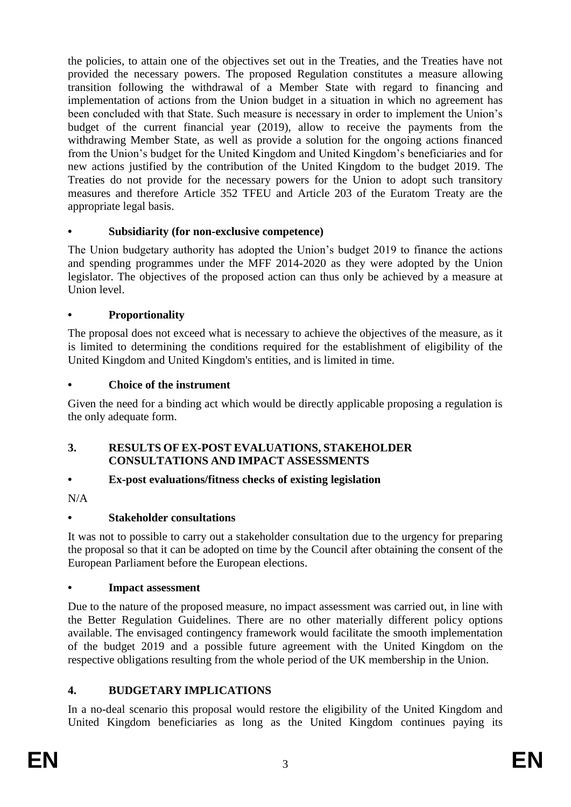the policies, to attain one of the objectives set out in the Treaties, and the Treaties have not provided the necessary powers. The proposed Regulation constitutes a measure allowing transition following the withdrawal of a Member State with regard to financing and implementation of actions from the Union budget in a situation in which no agreement has been concluded with that State. Such measure is necessary in order to implement the Union's budget of the current financial year (2019), allow to receive the payments from the withdrawing Member State, as well as provide a solution for the ongoing actions financed from the Union's budget for the United Kingdom and United Kingdom's beneficiaries and for new actions justified by the contribution of the United Kingdom to the budget 2019. The Treaties do not provide for the necessary powers for the Union to adopt such transitory measures and therefore Article 352 TFEU and Article 203 of the Euratom Treaty are the appropriate legal basis.

## **• Subsidiarity (for non-exclusive competence)**

The Union budgetary authority has adopted the Union's budget 2019 to finance the actions and spending programmes under the MFF 2014-2020 as they were adopted by the Union legislator. The objectives of the proposed action can thus only be achieved by a measure at Union level.

## **• Proportionality**

The proposal does not exceed what is necessary to achieve the objectives of the measure, as it is limited to determining the conditions required for the establishment of eligibility of the United Kingdom and United Kingdom's entities, and is limited in time.

## **• Choice of the instrument**

Given the need for a binding act which would be directly applicable proposing a regulation is the only adequate form.

## **3. RESULTS OF EX-POST EVALUATIONS, STAKEHOLDER CONSULTATIONS AND IMPACT ASSESSMENTS**

## **• Ex-post evaluations/fitness checks of existing legislation**

N/A

## **• Stakeholder consultations**

It was not to possible to carry out a stakeholder consultation due to the urgency for preparing the proposal so that it can be adopted on time by the Council after obtaining the consent of the European Parliament before the European elections.

## **• Impact assessment**

Due to the nature of the proposed measure, no impact assessment was carried out, in line with the Better Regulation Guidelines. There are no other materially different policy options available. The envisaged contingency framework would facilitate the smooth implementation of the budget 2019 and a possible future agreement with the United Kingdom on the respective obligations resulting from the whole period of the UK membership in the Union.

# **4. BUDGETARY IMPLICATIONS**

In a no-deal scenario this proposal would restore the eligibility of the United Kingdom and United Kingdom beneficiaries as long as the United Kingdom continues paying its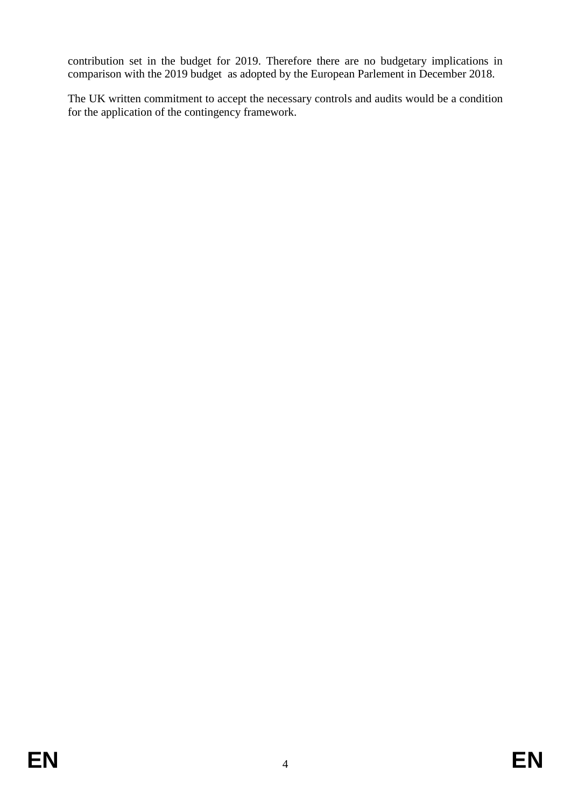contribution set in the budget for 2019. Therefore there are no budgetary implications in comparison with the 2019 budget as adopted by the European Parlement in December 2018.

The UK written commitment to accept the necessary controls and audits would be a condition for the application of the contingency framework.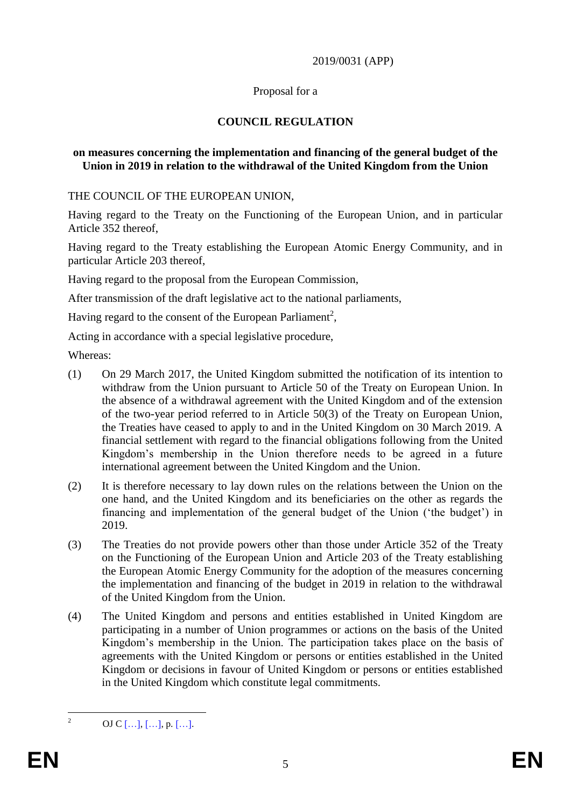#### 2019/0031 (APP)

#### Proposal for a

### **COUNCIL REGULATION**

#### **on measures concerning the implementation and financing of the general budget of the Union in 2019 in relation to the withdrawal of the United Kingdom from the Union**

THE COUNCIL OF THE EUROPEAN UNION,

Having regard to the Treaty on the Functioning of the European Union, and in particular Article 352 thereof,

Having regard to the Treaty establishing the European Atomic Energy Community, and in particular Article 203 thereof,

Having regard to the proposal from the European Commission,

After transmission of the draft legislative act to the national parliaments,

Having regard to the consent of the European Parliament<sup>2</sup>,

Acting in accordance with a special legislative procedure,

Whereas:

- (1) On 29 March 2017, the United Kingdom submitted the notification of its intention to withdraw from the Union pursuant to Article 50 of the Treaty on European Union. In the absence of a withdrawal agreement with the United Kingdom and of the extension of the two-year period referred to in Article 50(3) of the Treaty on European Union, the Treaties have ceased to apply to and in the United Kingdom on 30 March 2019. A financial settlement with regard to the financial obligations following from the United Kingdom's membership in the Union therefore needs to be agreed in a future international agreement between the United Kingdom and the Union.
- (2) It is therefore necessary to lay down rules on the relations between the Union on the one hand, and the United Kingdom and its beneficiaries on the other as regards the financing and implementation of the general budget of the Union ('the budget') in 2019.
- (3) The Treaties do not provide powers other than those under Article 352 of the Treaty on the Functioning of the European Union and Article 203 of the Treaty establishing the European Atomic Energy Community for the adoption of the measures concerning the implementation and financing of the budget in 2019 in relation to the withdrawal of the United Kingdom from the Union.
- (4) The United Kingdom and persons and entities established in United Kingdom are participating in a number of Union programmes or actions on the basis of the United Kingdom's membership in the Union. The participation takes place on the basis of agreements with the United Kingdom or persons or entities established in the United Kingdom or decisions in favour of United Kingdom or persons or entities established in the United Kingdom which constitute legal commitments.

 $\overline{c}$ 

OJ C  $[...]$ ,  $[...]$ , p.  $[...]$ .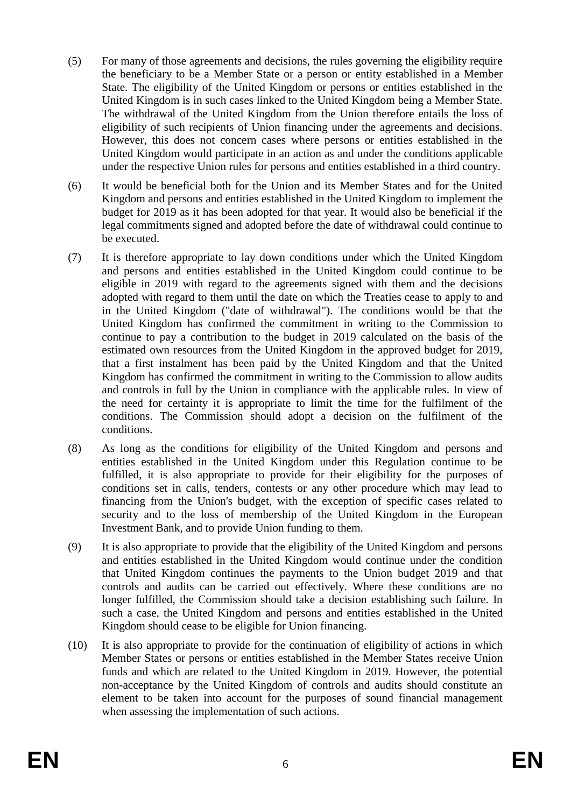- (5) For many of those agreements and decisions, the rules governing the eligibility require the beneficiary to be a Member State or a person or entity established in a Member State. The eligibility of the United Kingdom or persons or entities established in the United Kingdom is in such cases linked to the United Kingdom being a Member State. The withdrawal of the United Kingdom from the Union therefore entails the loss of eligibility of such recipients of Union financing under the agreements and decisions. However, this does not concern cases where persons or entities established in the United Kingdom would participate in an action as and under the conditions applicable under the respective Union rules for persons and entities established in a third country.
- (6) It would be beneficial both for the Union and its Member States and for the United Kingdom and persons and entities established in the United Kingdom to implement the budget for 2019 as it has been adopted for that year. It would also be beneficial if the legal commitments signed and adopted before the date of withdrawal could continue to be executed.
- (7) It is therefore appropriate to lay down conditions under which the United Kingdom and persons and entities established in the United Kingdom could continue to be eligible in 2019 with regard to the agreements signed with them and the decisions adopted with regard to them until the date on which the Treaties cease to apply to and in the United Kingdom ("date of withdrawal"). The conditions would be that the United Kingdom has confirmed the commitment in writing to the Commission to continue to pay a contribution to the budget in 2019 calculated on the basis of the estimated own resources from the United Kingdom in the approved budget for 2019, that a first instalment has been paid by the United Kingdom and that the United Kingdom has confirmed the commitment in writing to the Commission to allow audits and controls in full by the Union in compliance with the applicable rules. In view of the need for certainty it is appropriate to limit the time for the fulfilment of the conditions. The Commission should adopt a decision on the fulfilment of the conditions.
- (8) As long as the conditions for eligibility of the United Kingdom and persons and entities established in the United Kingdom under this Regulation continue to be fulfilled, it is also appropriate to provide for their eligibility for the purposes of conditions set in calls, tenders, contests or any other procedure which may lead to financing from the Union's budget, with the exception of specific cases related to security and to the loss of membership of the United Kingdom in the European Investment Bank, and to provide Union funding to them.
- (9) It is also appropriate to provide that the eligibility of the United Kingdom and persons and entities established in the United Kingdom would continue under the condition that United Kingdom continues the payments to the Union budget 2019 and that controls and audits can be carried out effectively. Where these conditions are no longer fulfilled, the Commission should take a decision establishing such failure. In such a case, the United Kingdom and persons and entities established in the United Kingdom should cease to be eligible for Union financing.
- (10) It is also appropriate to provide for the continuation of eligibility of actions in which Member States or persons or entities established in the Member States receive Union funds and which are related to the United Kingdom in 2019. However, the potential non-acceptance by the United Kingdom of controls and audits should constitute an element to be taken into account for the purposes of sound financial management when assessing the implementation of such actions.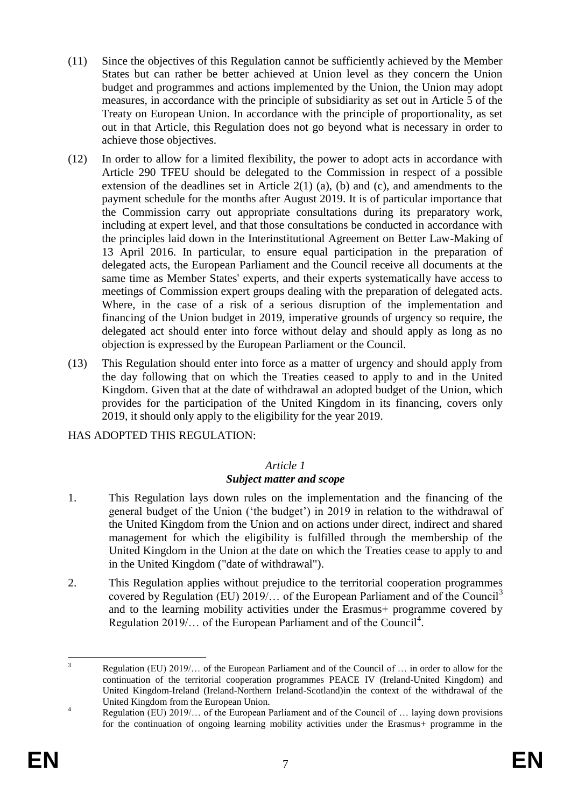- (11) Since the objectives of this Regulation cannot be sufficiently achieved by the Member States but can rather be better achieved at Union level as they concern the Union budget and programmes and actions implemented by the Union, the Union may adopt measures, in accordance with the principle of subsidiarity as set out in Article 5 of the Treaty on European Union. In accordance with the principle of proportionality, as set out in that Article, this Regulation does not go beyond what is necessary in order to achieve those objectives.
- (12) In order to allow for a limited flexibility, the power to adopt acts in accordance with Article 290 TFEU should be delegated to the Commission in respect of a possible extension of the deadlines set in Article 2(1) (a), (b) and (c), and amendments to the payment schedule for the months after August 2019. It is of particular importance that the Commission carry out appropriate consultations during its preparatory work, including at expert level, and that those consultations be conducted in accordance with the principles laid down in the Interinstitutional Agreement on Better Law-Making of 13 April 2016. In particular, to ensure equal participation in the preparation of delegated acts, the European Parliament and the Council receive all documents at the same time as Member States' experts, and their experts systematically have access to meetings of Commission expert groups dealing with the preparation of delegated acts. Where, in the case of a risk of a serious disruption of the implementation and financing of the Union budget in 2019, imperative grounds of urgency so require, the delegated act should enter into force without delay and should apply as long as no objection is expressed by the European Parliament or the Council.
- (13) This Regulation should enter into force as a matter of urgency and should apply from the day following that on which the Treaties ceased to apply to and in the United Kingdom. Given that at the date of withdrawal an adopted budget of the Union, which provides for the participation of the United Kingdom in its financing, covers only 2019, it should only apply to the eligibility for the year 2019.

HAS ADOPTED THIS REGULATION:

### *Article 1*

### *Subject matter and scope*

- 1. This Regulation lays down rules on the implementation and the financing of the general budget of the Union ('the budget') in 2019 in relation to the withdrawal of the United Kingdom from the Union and on actions under direct, indirect and shared management for which the eligibility is fulfilled through the membership of the United Kingdom in the Union at the date on which the Treaties cease to apply to and in the United Kingdom ("date of withdrawal").
- 2. This Regulation applies without prejudice to the territorial cooperation programmes covered by Regulation (EU) 2019/... of the European Parliament and of the Council<sup>3</sup> and to the learning mobility activities under the Erasmus+ programme covered by Regulation 2019/ $\ldots$  of the European Parliament and of the Council<sup>4</sup>.

 $\overline{3}$ <sup>3</sup> Regulation (EU) 2019/… of the European Parliament and of the Council of … in order to allow for the continuation of the territorial cooperation programmes PEACE IV (Ireland-United Kingdom) and United Kingdom-Ireland (Ireland-Northern Ireland-Scotland)in the context of the withdrawal of the United Kingdom from the European Union.

<sup>&</sup>lt;sup>4</sup> Regulation (EU) 2019/... of the European Parliament and of the Council of ... laying down provisions for the continuation of ongoing learning mobility activities under the Erasmus+ programme in the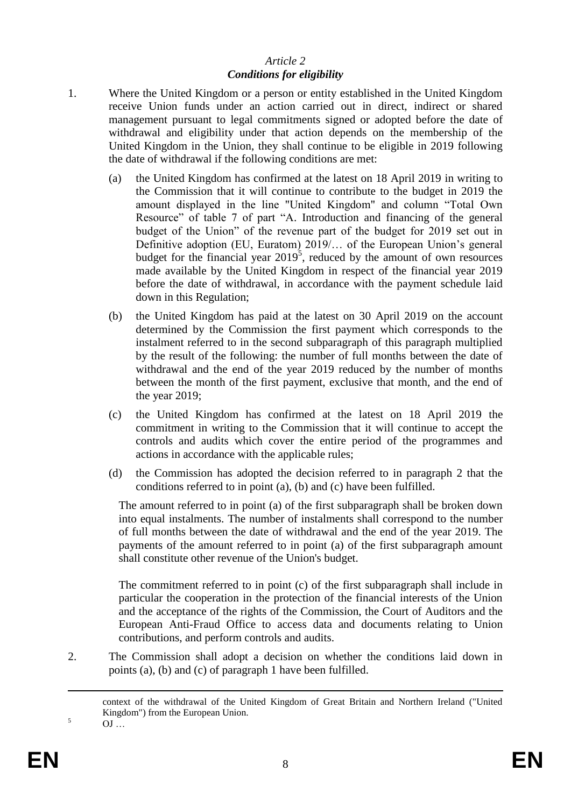### *Article 2 Conditions for eligibility*

- 1. Where the United Kingdom or a person or entity established in the United Kingdom receive Union funds under an action carried out in direct, indirect or shared management pursuant to legal commitments signed or adopted before the date of withdrawal and eligibility under that action depends on the membership of the United Kingdom in the Union, they shall continue to be eligible in 2019 following the date of withdrawal if the following conditions are met:
	- (a) the United Kingdom has confirmed at the latest on 18 April 2019 in writing to the Commission that it will continue to contribute to the budget in 2019 the amount displayed in the line "United Kingdom" and column "Total Own Resource" of table 7 of part "A. Introduction and financing of the general budget of the Union" of the revenue part of the budget for 2019 set out in Definitive adoption (EU, Euratom) 2019/… of the European Union's general budget for the financial year  $2019^5$ , reduced by the amount of own resources made available by the United Kingdom in respect of the financial year 2019 before the date of withdrawal, in accordance with the payment schedule laid down in this Regulation;
	- (b) the United Kingdom has paid at the latest on 30 April 2019 on the account determined by the Commission the first payment which corresponds to the instalment referred to in the second subparagraph of this paragraph multiplied by the result of the following: the number of full months between the date of withdrawal and the end of the year 2019 reduced by the number of months between the month of the first payment, exclusive that month, and the end of the year 2019;
	- (c) the United Kingdom has confirmed at the latest on 18 April 2019 the commitment in writing to the Commission that it will continue to accept the controls and audits which cover the entire period of the programmes and actions in accordance with the applicable rules;
	- (d) the Commission has adopted the decision referred to in paragraph 2 that the conditions referred to in point (a), (b) and (c) have been fulfilled.

The amount referred to in point (a) of the first subparagraph shall be broken down into equal instalments. The number of instalments shall correspond to the number of full months between the date of withdrawal and the end of the year 2019. The payments of the amount referred to in point (a) of the first subparagraph amount shall constitute other revenue of the Union's budget.

The commitment referred to in point (c) of the first subparagraph shall include in particular the cooperation in the protection of the financial interests of the Union and the acceptance of the rights of the Commission, the Court of Auditors and the European Anti-Fraud Office to access data and documents relating to Union contributions, and perform controls and audits.

2. The Commission shall adopt a decision on whether the conditions laid down in points (a), (b) and (c) of paragraph 1 have been fulfilled.

 $5 \qquad \qquad \text{OJ} \dots$ 

 $\overline{a}$ 

context of the withdrawal of the United Kingdom of Great Britain and Northern Ireland ("United Kingdom") from the European Union.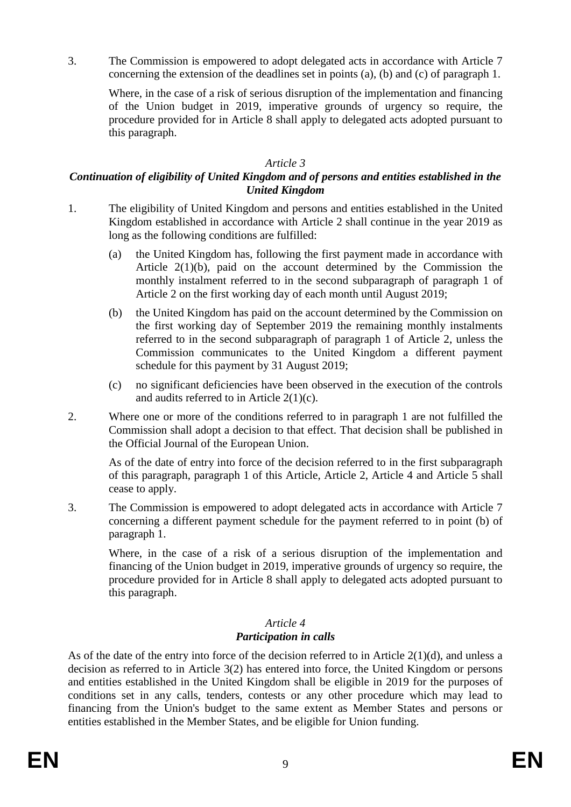3. The Commission is empowered to adopt delegated acts in accordance with Article 7 concerning the extension of the deadlines set in points (a), (b) and (c) of paragraph 1.

Where, in the case of a risk of serious disruption of the implementation and financing of the Union budget in 2019, imperative grounds of urgency so require, the procedure provided for in Article 8 shall apply to delegated acts adopted pursuant to this paragraph.

#### *Article 3*

### *Continuation of eligibility of United Kingdom and of persons and entities established in the United Kingdom*

- 1. The eligibility of United Kingdom and persons and entities established in the United Kingdom established in accordance with Article 2 shall continue in the year 2019 as long as the following conditions are fulfilled:
	- (a) the United Kingdom has, following the first payment made in accordance with Article 2(1)(b), paid on the account determined by the Commission the monthly instalment referred to in the second subparagraph of paragraph 1 of Article 2 on the first working day of each month until August 2019;
	- (b) the United Kingdom has paid on the account determined by the Commission on the first working day of September 2019 the remaining monthly instalments referred to in the second subparagraph of paragraph 1 of Article 2, unless the Commission communicates to the United Kingdom a different payment schedule for this payment by 31 August 2019;
	- (c) no significant deficiencies have been observed in the execution of the controls and audits referred to in Article 2(1)(c).
- 2. Where one or more of the conditions referred to in paragraph 1 are not fulfilled the Commission shall adopt a decision to that effect. That decision shall be published in the Official Journal of the European Union.

As of the date of entry into force of the decision referred to in the first subparagraph of this paragraph, paragraph 1 of this Article, Article 2, Article 4 and Article 5 shall cease to apply.

3. The Commission is empowered to adopt delegated acts in accordance with Article 7 concerning a different payment schedule for the payment referred to in point (b) of paragraph 1.

Where, in the case of a risk of a serious disruption of the implementation and financing of the Union budget in 2019, imperative grounds of urgency so require, the procedure provided for in Article 8 shall apply to delegated acts adopted pursuant to this paragraph.

### *Article 4 Participation in calls*

As of the date of the entry into force of the decision referred to in Article 2(1)(d), and unless a decision as referred to in Article 3(2) has entered into force, the United Kingdom or persons and entities established in the United Kingdom shall be eligible in 2019 for the purposes of conditions set in any calls, tenders, contests or any other procedure which may lead to financing from the Union's budget to the same extent as Member States and persons or entities established in the Member States, and be eligible for Union funding.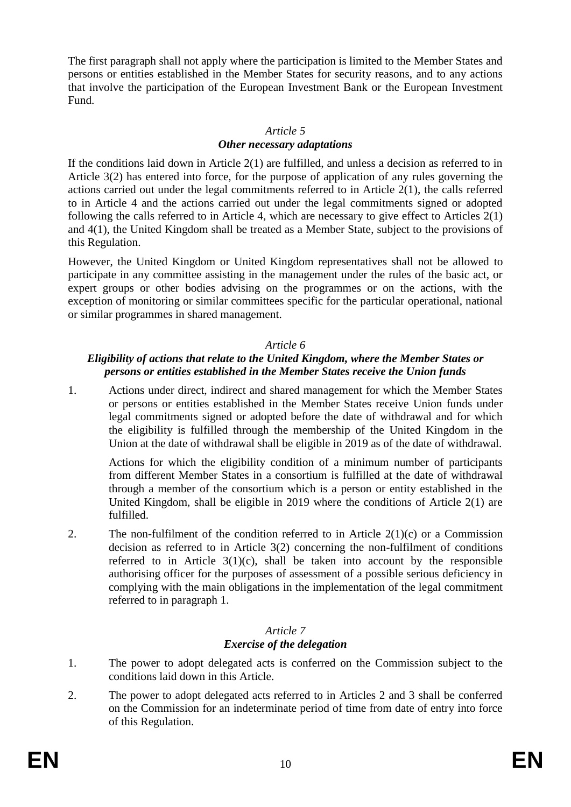The first paragraph shall not apply where the participation is limited to the Member States and persons or entities established in the Member States for security reasons, and to any actions that involve the participation of the European Investment Bank or the European Investment Fund.

#### *Article 5*

### *Other necessary adaptations*

If the conditions laid down in Article 2(1) are fulfilled, and unless a decision as referred to in Article 3(2) has entered into force, for the purpose of application of any rules governing the actions carried out under the legal commitments referred to in Article 2(1), the calls referred to in Article 4 and the actions carried out under the legal commitments signed or adopted following the calls referred to in Article 4, which are necessary to give effect to Articles 2(1) and 4(1), the United Kingdom shall be treated as a Member State, subject to the provisions of this Regulation.

However, the United Kingdom or United Kingdom representatives shall not be allowed to participate in any committee assisting in the management under the rules of the basic act, or expert groups or other bodies advising on the programmes or on the actions, with the exception of monitoring or similar committees specific for the particular operational, national or similar programmes in shared management.

### *Article 6*

### *Eligibility of actions that relate to the United Kingdom, where the Member States or persons or entities established in the Member States receive the Union funds*

1. Actions under direct, indirect and shared management for which the Member States or persons or entities established in the Member States receive Union funds under legal commitments signed or adopted before the date of withdrawal and for which the eligibility is fulfilled through the membership of the United Kingdom in the Union at the date of withdrawal shall be eligible in 2019 as of the date of withdrawal.

Actions for which the eligibility condition of a minimum number of participants from different Member States in a consortium is fulfilled at the date of withdrawal through a member of the consortium which is a person or entity established in the United Kingdom, shall be eligible in 2019 where the conditions of Article 2(1) are fulfilled.

2. The non-fulfilment of the condition referred to in Article  $2(1)(c)$  or a Commission decision as referred to in Article 3(2) concerning the non-fulfilment of conditions referred to in Article  $3(1)(c)$ , shall be taken into account by the responsible authorising officer for the purposes of assessment of a possible serious deficiency in complying with the main obligations in the implementation of the legal commitment referred to in paragraph 1.

### *Article 7 Exercise of the delegation*

- 1. The power to adopt delegated acts is conferred on the Commission subject to the conditions laid down in this Article.
- 2. The power to adopt delegated acts referred to in Articles 2 and 3 shall be conferred on the Commission for an indeterminate period of time from date of entry into force of this Regulation.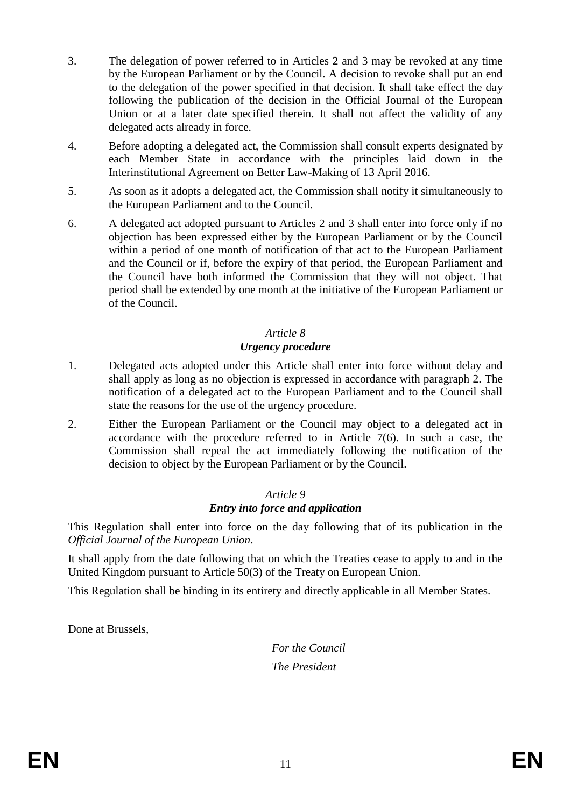- 3. The delegation of power referred to in Articles 2 and 3 may be revoked at any time by the European Parliament or by the Council. A decision to revoke shall put an end to the delegation of the power specified in that decision. It shall take effect the day following the publication of the decision in the Official Journal of the European Union or at a later date specified therein. It shall not affect the validity of any delegated acts already in force.
- 4. Before adopting a delegated act, the Commission shall consult experts designated by each Member State in accordance with the principles laid down in the Interinstitutional Agreement on Better Law-Making of 13 April 2016.
- 5. As soon as it adopts a delegated act, the Commission shall notify it simultaneously to the European Parliament and to the Council.
- 6. A delegated act adopted pursuant to Articles 2 and 3 shall enter into force only if no objection has been expressed either by the European Parliament or by the Council within a period of one month of notification of that act to the European Parliament and the Council or if, before the expiry of that period, the European Parliament and the Council have both informed the Commission that they will not object. That period shall be extended by one month at the initiative of the European Parliament or of the Council.

### *Article 8*

### *Urgency procedure*

- 1. Delegated acts adopted under this Article shall enter into force without delay and shall apply as long as no objection is expressed in accordance with paragraph 2. The notification of a delegated act to the European Parliament and to the Council shall state the reasons for the use of the urgency procedure.
- 2. Either the European Parliament or the Council may object to a delegated act in accordance with the procedure referred to in Article 7(6). In such a case, the Commission shall repeal the act immediately following the notification of the decision to object by the European Parliament or by the Council.

## *Article 9*

#### *Entry into force and application*

This Regulation shall enter into force on the day following that of its publication in the *Official Journal of the European Union*.

It shall apply from the date following that on which the Treaties cease to apply to and in the United Kingdom pursuant to Article 50(3) of the Treaty on European Union.

This Regulation shall be binding in its entirety and directly applicable in all Member States.

Done at Brussels,

*For the Council The President*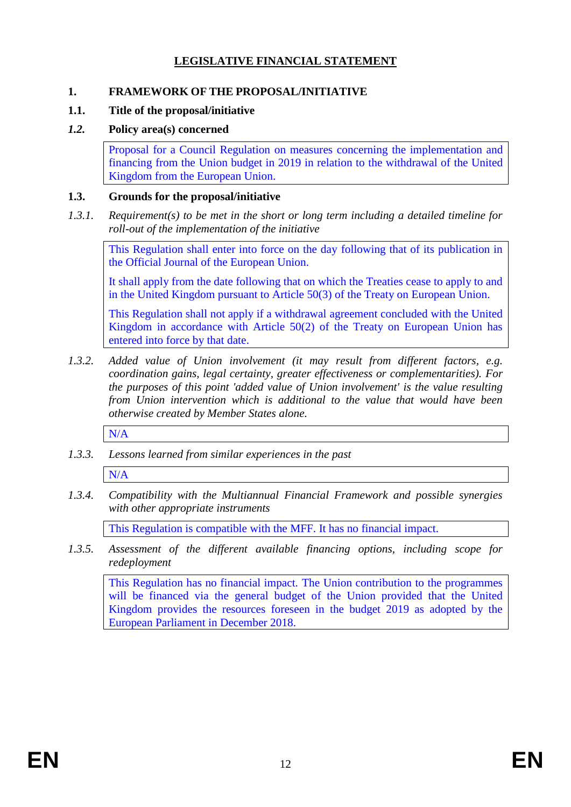## **LEGISLATIVE FINANCIAL STATEMENT**

### **1. FRAMEWORK OF THE PROPOSAL/INITIATIVE**

### **1.1. Title of the proposal/initiative**

## *1.2.* **Policy area(s) concerned**

Proposal for a Council Regulation on measures concerning the implementation and financing from the Union budget in 2019 in relation to the withdrawal of the United Kingdom from the European Union.

### **1.3. Grounds for the proposal/initiative**

*1.3.1. Requirement(s) to be met in the short or long term including a detailed timeline for roll-out of the implementation of the initiative*

This Regulation shall enter into force on the day following that of its publication in the Official Journal of the European Union.

It shall apply from the date following that on which the Treaties cease to apply to and in the United Kingdom pursuant to Article 50(3) of the Treaty on European Union.

This Regulation shall not apply if a withdrawal agreement concluded with the United Kingdom in accordance with Article 50(2) of the Treaty on European Union has entered into force by that date.

*1.3.2. Added value of Union involvement (it may result from different factors, e.g. coordination gains, legal certainty, greater effectiveness or complementarities). For the purposes of this point 'added value of Union involvement' is the value resulting from Union intervention which is additional to the value that would have been otherwise created by Member States alone.*

N/A

*1.3.3. Lessons learned from similar experiences in the past*

N/A

*1.3.4. Compatibility with the Multiannual Financial Framework and possible synergies with other appropriate instruments*

This Regulation is compatible with the MFF. It has no financial impact.

*1.3.5. Assessment of the different available financing options, including scope for redeployment*

This Regulation has no financial impact. The Union contribution to the programmes will be financed via the general budget of the Union provided that the United Kingdom provides the resources foreseen in the budget 2019 as adopted by the European Parliament in December 2018.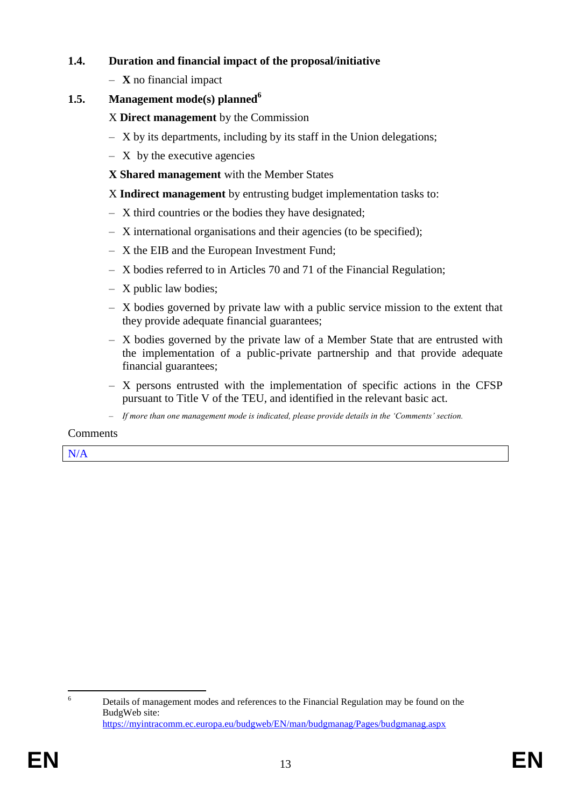### **1.4. Duration and financial impact of the proposal/initiative**

– **X** no financial impact

## **1.5. Management mode(s) planned<sup>6</sup>**

X **Direct management** by the Commission

- X by its departments, including by its staff in the Union delegations;
- $X$  by the executive agencies
- **X Shared management** with the Member States
- X **Indirect management** by entrusting budget implementation tasks to:
- X third countries or the bodies they have designated;
- X international organisations and their agencies (to be specified);
- X the EIB and the European Investment Fund;
- X bodies referred to in Articles 70 and 71 of the Financial Regulation;
- X public law bodies;
- X bodies governed by private law with a public service mission to the extent that they provide adequate financial guarantees;
- X bodies governed by the private law of a Member State that are entrusted with the implementation of a public-private partnership and that provide adequate financial guarantees;
- X persons entrusted with the implementation of specific actions in the CFSP pursuant to Title V of the TEU, and identified in the relevant basic act.
- *If more than one management mode is indicated, please provide details in the 'Comments' section.*

#### Comments

N/A

<sup>6</sup> Details of management modes and references to the Financial Regulation may be found on the BudgWeb site: <https://myintracomm.ec.europa.eu/budgweb/EN/man/budgmanag/Pages/budgmanag.aspx>

 $6\overline{6}$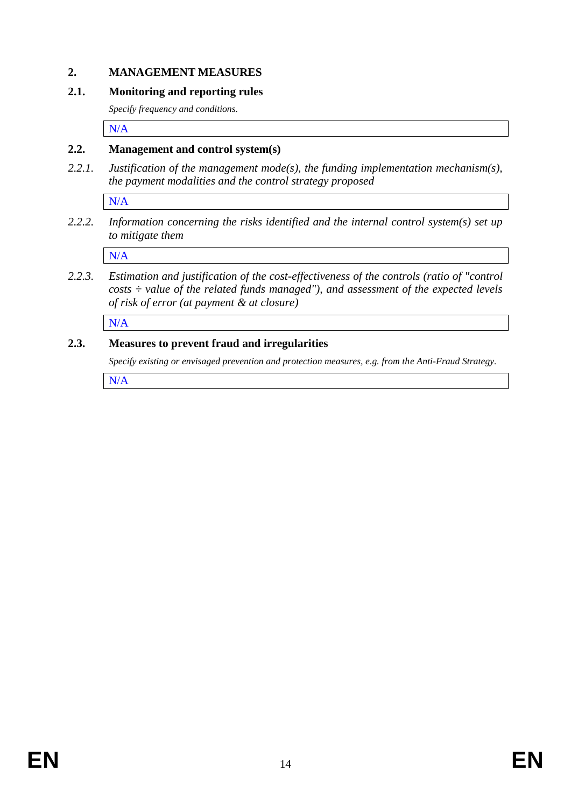### **2. MANAGEMENT MEASURES**

#### **2.1. Monitoring and reporting rules**

*Specify frequency and conditions.*

N/A

### **2.2. Management and control system(s)**

*2.2.1. Justification of the management mode(s), the funding implementation mechanism(s), the payment modalities and the control strategy proposed*

N/A

*2.2.2. Information concerning the risks identified and the internal control system(s) set up to mitigate them*

N/A

*2.2.3. Estimation and justification of the cost-effectiveness of the controls (ratio of "control costs ÷ value of the related funds managed"), and assessment of the expected levels of risk of error (at payment & at closure)* 

N/A

### **2.3. Measures to prevent fraud and irregularities**

*Specify existing or envisaged prevention and protection measures, e.g. from the Anti-Fraud Strategy.*

N/A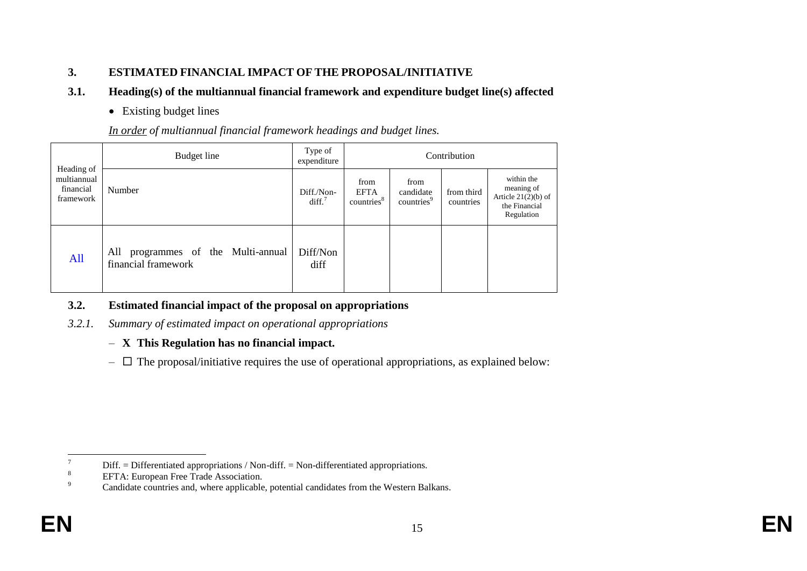### **3. ESTIMATED FINANCIAL IMPACT OF THE PROPOSAL/INITIATIVE**

## **3.1. Heading(s) of the multiannual financial framework and expenditure budget line(s) affected**

• Existing budget lines

*In order of multiannual financial framework headings and budget lines.*

|                                                     | Budget line                                                  | Type of<br>expenditure           | Contribution                                  |                                             |                         |                                                                                  |  |  |  |
|-----------------------------------------------------|--------------------------------------------------------------|----------------------------------|-----------------------------------------------|---------------------------------------------|-------------------------|----------------------------------------------------------------------------------|--|--|--|
| Heading of<br>multiannual<br>financial<br>framework | Number                                                       | Diff./Non-<br>diff. <sup>7</sup> | from<br><b>EFTA</b><br>countries <sup>8</sup> | from<br>candidate<br>countries <sup>9</sup> | from third<br>countries | within the<br>meaning of<br>Article $21(2)(b)$ of<br>the Financial<br>Regulation |  |  |  |
| All                                                 | programmes of the Multi-annual<br>All<br>financial framework | Diff/Non<br>diff                 |                                               |                                             |                         |                                                                                  |  |  |  |

## **3.2. Estimated financial impact of the proposal on appropriations**

- *3.2.1. Summary of estimated impact on operational appropriations* 
	- **X This Regulation has no financial impact.**
	- $-\Box$  The proposal/initiative requires the use of operational appropriations, as explained below:

 $7\overline{ }$  $\frac{7}{8}$  Diff. = Differentiated appropriations / Non-diff. = Non-differentiated appropriations.

 $8$  EFTA: European Free Trade Association.

Candidate countries and, where applicable, potential candidates from the Western Balkans.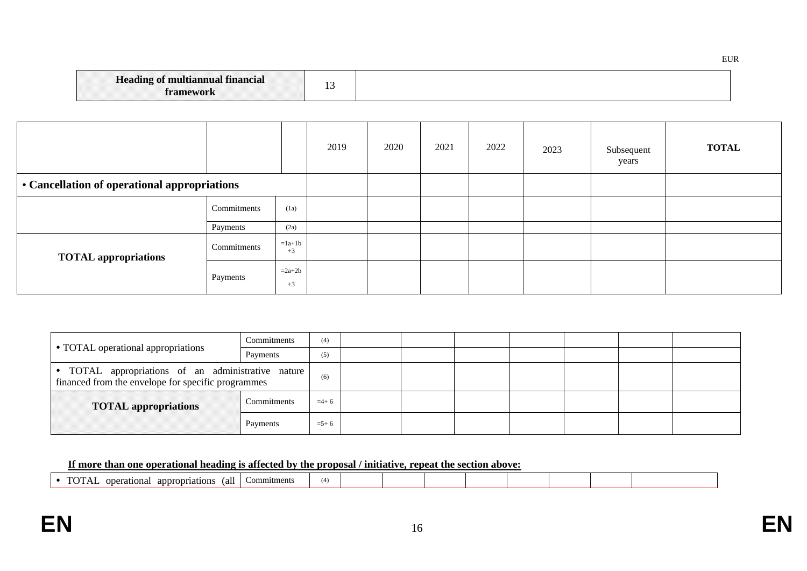|--|

|                                              |             |                  | 2019 | 2020 | 2021 | 2022 | 2023 | Subsequent<br>years | <b>TOTAL</b> |
|----------------------------------------------|-------------|------------------|------|------|------|------|------|---------------------|--------------|
| • Cancellation of operational appropriations |             |                  |      |      |      |      |      |                     |              |
|                                              | Commitments | (1a)             |      |      |      |      |      |                     |              |
|                                              | Payments    | (2a)             |      |      |      |      |      |                     |              |
| <b>TOTAL appropriations</b>                  | Commitments | $=1a+1b$<br>$+3$ |      |      |      |      |      |                     |              |
|                                              | Payments    | $=2a+2b$<br>$+3$ |      |      |      |      |      |                     |              |

| • TOTAL operational appropriations                                                                       | Commitments | (4)       |  |  |  |  |
|----------------------------------------------------------------------------------------------------------|-------------|-----------|--|--|--|--|
|                                                                                                          | Payments    | (5)       |  |  |  |  |
| • TOTAL appropriations of an administrative nature<br>financed from the envelope for specific programmes | (6)         |           |  |  |  |  |
| Commitments<br><b>TOTAL</b> appropriations                                                               |             |           |  |  |  |  |
| Payments                                                                                                 |             | $= 5 + 6$ |  |  |  |  |

### **If more than one operational heading is affected by the proposal / initiative, repeat the section above:**

| $\sim$<br>appropriations<br>rational<br>(al | ommitments | $\overline{ }$<br>. . |  |  |  |  |
|---------------------------------------------|------------|-----------------------|--|--|--|--|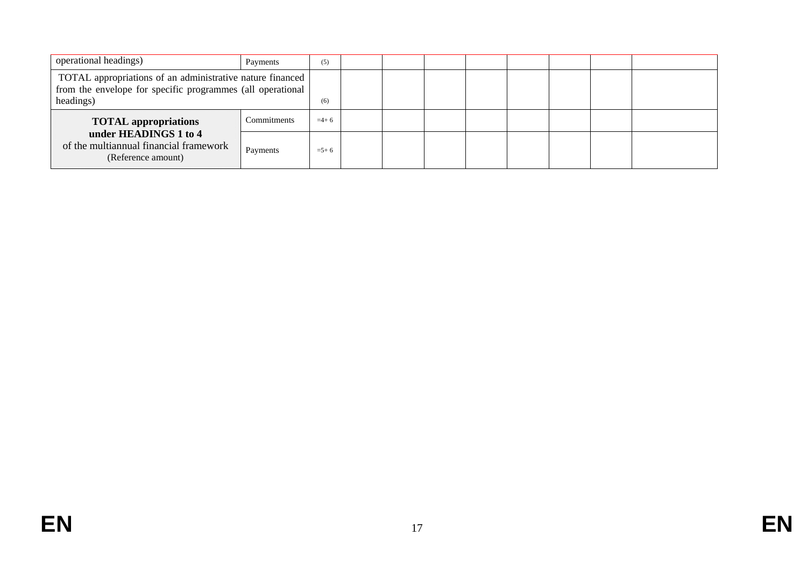| operational headings)<br>Payments                                                                                                    |             |           |  |  |  |  |
|--------------------------------------------------------------------------------------------------------------------------------------|-------------|-----------|--|--|--|--|
| TOTAL appropriations of an administrative nature financed<br>from the envelope for specific programmes (all operational<br>headings) | (6)         |           |  |  |  |  |
| <b>TOTAL appropriations</b>                                                                                                          | Commitments | $=4+6$    |  |  |  |  |
| under HEADINGS 1 to 4<br>of the multiannual financial framework<br>(Reference amount)                                                | Payments    | $= 5 + 6$ |  |  |  |  |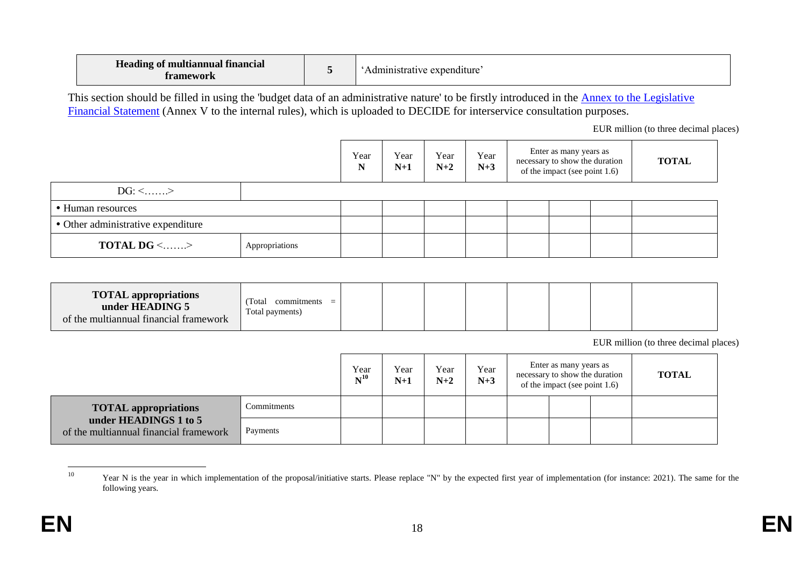| <b>Heading of multiannual financial</b><br>tramework |  | Administrative expenditure |
|------------------------------------------------------|--|----------------------------|
|------------------------------------------------------|--|----------------------------|

This section should be filled in using the 'budget data of an administrative nature' to be firstly introduced in the Annex to the Legislative [Financial Statement](https://myintracomm.ec.europa.eu/budgweb/EN/leg/internal/Documents/2016-5-legislative-financial-statement-ann-en.docx) (Annex V to the internal rules), which is uploaded to DECIDE for interservice consultation purposes.

EUR million (to three decimal places)

|                                            |  | Year<br>N | Year<br>$N+1$ | Year<br>$N+2$ | Year<br>$N+3$ | Enter as many years as<br>necessary to show the duration<br>of the impact (see point 1.6) | <b>TOTAL</b> |
|--------------------------------------------|--|-----------|---------------|---------------|---------------|-------------------------------------------------------------------------------------------|--------------|
| $DG: \leq$ >                               |  |           |               |               |               |                                                                                           |              |
| • Human resources                          |  |           |               |               |               |                                                                                           |              |
| • Other administrative expenditure         |  |           |               |               |               |                                                                                           |              |
| <b>TOTAL DG &lt;&gt;</b><br>Appropriations |  |           |               |               |               |                                                                                           |              |

| <b>TOTAL appropriations</b><br>under HEADING 5<br>of the multiannual financial framework | Total<br>commitments<br>$=$<br>Total payments) |  |  |  |  |  |  |  |  |
|------------------------------------------------------------------------------------------|------------------------------------------------|--|--|--|--|--|--|--|--|
|------------------------------------------------------------------------------------------|------------------------------------------------|--|--|--|--|--|--|--|--|

EUR million (to three decimal places)

|                                                                 | Year<br>$N^{10}$ | Year<br>$N+1$ | Year<br>$N+2$ | Year<br>$N+3$ | Enter as many years as<br>necessary to show the duration<br>of the impact (see point 1.6) | <b>TOTAL</b> |  |
|-----------------------------------------------------------------|------------------|---------------|---------------|---------------|-------------------------------------------------------------------------------------------|--------------|--|
| <b>TOTAL</b> appropriations                                     | Commitments      |               |               |               |                                                                                           |              |  |
| under HEADINGS 1 to 5<br>of the multiannual financial framework | Payments         |               |               |               |                                                                                           |              |  |

 $10\,$ Year N is the year in which implementation of the proposal/initiative starts. Please replace "N" by the expected first year of implementation (for instance: 2021). The same for the following years.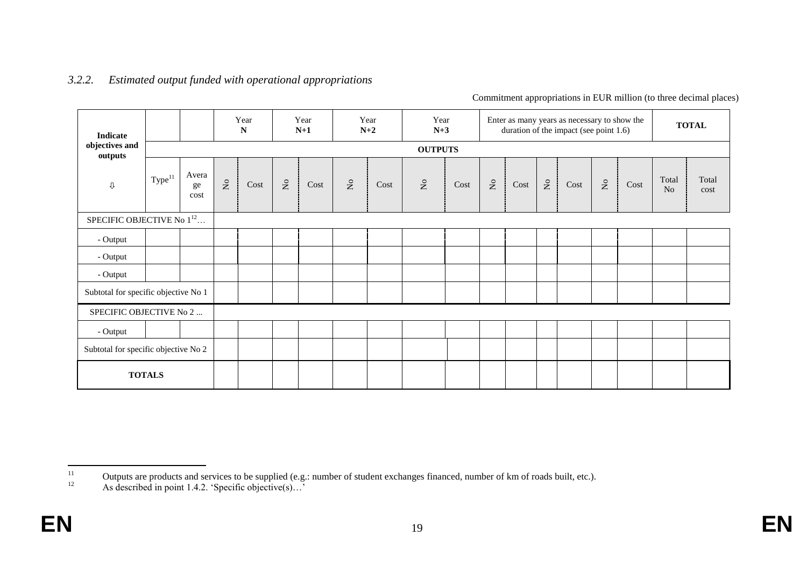#### *3.2.2. Estimated output funded with operational appropriations*

Commitment appropriations in EUR million (to three decimal places)

| Indicate                              |                    |                     |                 | Year<br>${\bf N}$ |                           | Year<br>$N+1$ |                 | Year<br>$N+2$ | Year<br>$N+3$             |      |                           |      |                           | Enter as many years as necessary to show the<br>duration of the impact (see point 1.6) |                                   |      |                         | <b>TOTAL</b>  |
|---------------------------------------|--------------------|---------------------|-----------------|-------------------|---------------------------|---------------|-----------------|---------------|---------------------------|------|---------------------------|------|---------------------------|----------------------------------------------------------------------------------------|-----------------------------------|------|-------------------------|---------------|
| objectives and<br>outputs             |                    |                     |                 |                   |                           |               |                 |               | <b>OUTPUTS</b>            |      |                           |      |                           |                                                                                        |                                   |      |                         |               |
| $\mathbb Q$                           | Type <sup>11</sup> | Avera<br>ge<br>cost | $\rm N_{\rm O}$ | Cost              | $\mathsf{S}^{\mathsf{o}}$ | Cost          | $\rm N_{\rm O}$ | Cost          | $\mathsf{S}^{\mathsf{o}}$ | Cost | $\mathsf{S}^{\mathsf{o}}$ | Cost | $\mathsf{R}^{\mathsf{O}}$ | Cost                                                                                   | $\rm \stackrel{\circ}{\rm \bf Z}$ | Cost | Total<br>N <sub>o</sub> | Total<br>cost |
| SPECIFIC OBJECTIVE No 1 <sup>12</sup> |                    |                     |                 |                   |                           |               |                 |               |                           |      |                           |      |                           |                                                                                        |                                   |      |                         |               |
| - Output                              |                    |                     |                 |                   |                           |               |                 |               |                           |      |                           |      |                           |                                                                                        |                                   |      |                         |               |
| - Output                              |                    |                     |                 |                   |                           |               |                 |               |                           |      |                           |      |                           |                                                                                        |                                   |      |                         |               |
| - Output                              |                    |                     |                 |                   |                           |               |                 |               |                           |      |                           |      |                           |                                                                                        |                                   |      |                         |               |
| Subtotal for specific objective No 1  |                    |                     |                 |                   |                           |               |                 |               |                           |      |                           |      |                           |                                                                                        |                                   |      |                         |               |
| SPECIFIC OBJECTIVE No 2               |                    |                     |                 |                   |                           |               |                 |               |                           |      |                           |      |                           |                                                                                        |                                   |      |                         |               |
| - Output                              |                    |                     |                 |                   |                           |               |                 |               |                           |      |                           |      |                           |                                                                                        |                                   |      |                         |               |
| Subtotal for specific objective No 2  |                    |                     |                 |                   |                           |               |                 |               |                           |      |                           |      |                           |                                                                                        |                                   |      |                         |               |
|                                       | <b>TOTALS</b>      |                     |                 |                   |                           |               |                 |               |                           |      |                           |      |                           |                                                                                        |                                   |      |                         |               |

 $11\,$ 11 Outputs are products and services to be supplied (e.g.: number of student exchanges financed, number of km of roads built, etc.).<br>As described in point 1.4.2 'Specific objective(s)

As described in point 1.4.2. 'Specific objective(s)...'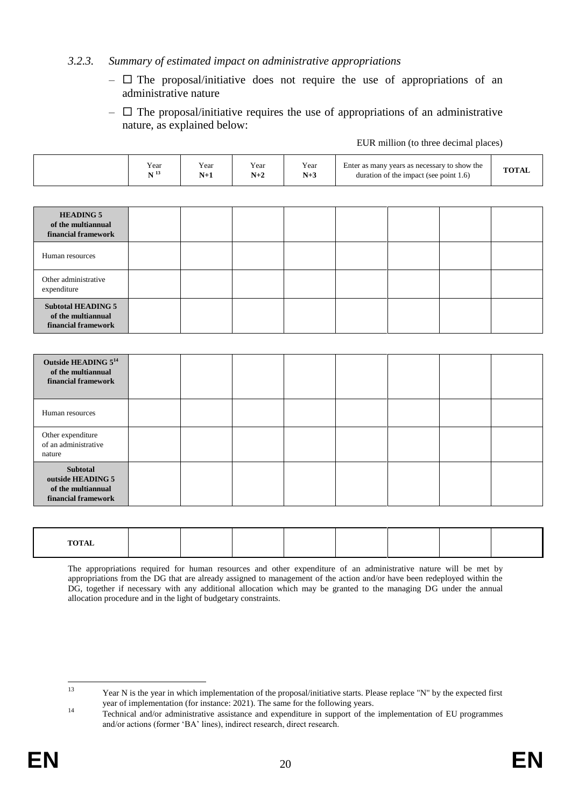### *3.2.3. Summary of estimated impact on administrative appropriations*

- $\Box$  The proposal/initiative does not require the use of appropriations of an administrative nature
- $\Box$  The proposal/initiative requires the use of appropriations of an administrative nature, as explained below:

|  |  | EUR million (to three decimal places) |  |
|--|--|---------------------------------------|--|
|  |  |                                       |  |

|                                                                                   | Year<br>$\mathbf{N}$ $^{13}$ | Year<br>$N+1$ | Year<br>$N+2$ | Year<br>$N+3$ | Enter as many years as necessary to show the<br>duration of the impact (see point 1.6) |  |  | <b>TOTAL</b> |
|-----------------------------------------------------------------------------------|------------------------------|---------------|---------------|---------------|----------------------------------------------------------------------------------------|--|--|--------------|
|                                                                                   |                              |               |               |               |                                                                                        |  |  |              |
| <b>HEADING 5</b><br>of the multiannual<br>financial framework                     |                              |               |               |               |                                                                                        |  |  |              |
| Human resources                                                                   |                              |               |               |               |                                                                                        |  |  |              |
| Other administrative<br>expenditure                                               |                              |               |               |               |                                                                                        |  |  |              |
| <b>Subtotal HEADING 5</b><br>of the multiannual<br>financial framework            |                              |               |               |               |                                                                                        |  |  |              |
|                                                                                   |                              |               |               |               |                                                                                        |  |  |              |
| Outside HEADING 5 <sup>14</sup><br>of the multiannual<br>financial framework      |                              |               |               |               |                                                                                        |  |  |              |
| Human resources                                                                   |                              |               |               |               |                                                                                        |  |  |              |
| Other expenditure<br>of an administrative<br>nature                               |                              |               |               |               |                                                                                        |  |  |              |
| <b>Subtotal</b><br>outside HEADING 5<br>of the multiannual<br>financial framework |                              |               |               |               |                                                                                        |  |  |              |

| $EXAMPLE 1$ |  |  |  |  |
|-------------|--|--|--|--|
| .           |  |  |  |  |
| .           |  |  |  |  |
|             |  |  |  |  |
|             |  |  |  |  |

The appropriations required for human resources and other expenditure of an administrative nature will be met by appropriations from the DG that are already assigned to management of the action and/or have been redeployed within the DG, together if necessary with any additional allocation which may be granted to the managing DG under the annual allocation procedure and in the light of budgetary constraints.

 $13$ Year N is the year in which implementation of the proposal/initiative starts. Please replace "N" by the expected first year of implementation (for instance: 2021). The same for the following years.

<sup>&</sup>lt;sup>14</sup> Technical and/or administrative assistance and expenditure in support of the implementation of EU programmes and/or actions (former 'BA' lines), indirect research, direct research.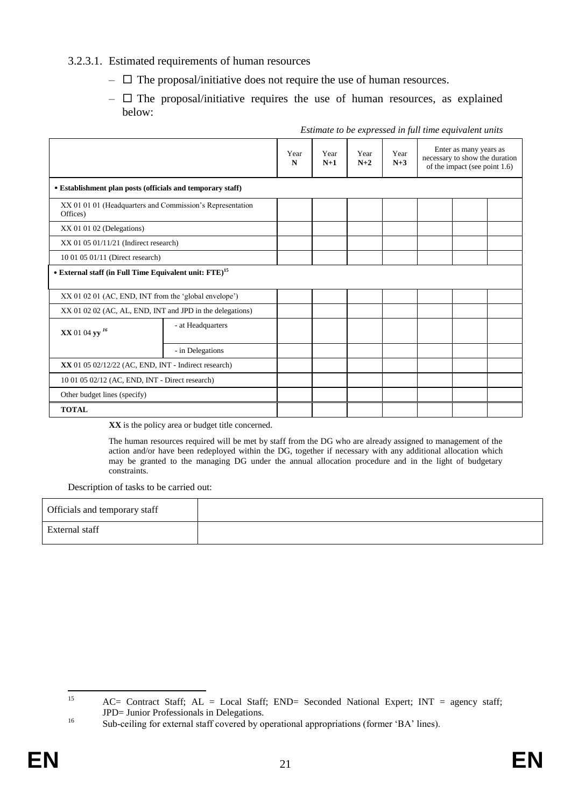### 3.2.3.1. Estimated requirements of human resources

- $\Box$  The proposal/initiative does not require the use of human resources.
- $\Box$  The proposal/initiative requires the use of human resources, as explained below:

|                                                                       |                   | Year<br>N | Year<br>$N+1$ | Year<br>$N+2$ | Year<br>$N+3$ | Enter as many years as<br>necessary to show the duration<br>of the impact (see point 1.6) |  |  |
|-----------------------------------------------------------------------|-------------------|-----------|---------------|---------------|---------------|-------------------------------------------------------------------------------------------|--|--|
| • Establishment plan posts (officials and temporary staff)            |                   |           |               |               |               |                                                                                           |  |  |
| XX 01 01 01 (Headquarters and Commission's Representation<br>Offices) |                   |           |               |               |               |                                                                                           |  |  |
| $XX$ 01 01 02 (Delegations)                                           |                   |           |               |               |               |                                                                                           |  |  |
| $XX$ 01 05 01/11/21 (Indirect research)                               |                   |           |               |               |               |                                                                                           |  |  |
| 10 01 05 01/11 (Direct research)                                      |                   |           |               |               |               |                                                                                           |  |  |
| • External staff (in Full Time Equivalent unit: FTE) <sup>15</sup>    |                   |           |               |               |               |                                                                                           |  |  |
| XX 01 02 01 (AC, END, INT from the 'global envelope')                 |                   |           |               |               |               |                                                                                           |  |  |
| XX 01 02 02 (AC, AL, END, INT and JPD in the delegations)             |                   |           |               |               |               |                                                                                           |  |  |
| XX 01 04 yy <sup>16</sup>                                             | - at Headquarters |           |               |               |               |                                                                                           |  |  |
|                                                                       | - in Delegations  |           |               |               |               |                                                                                           |  |  |
| $XX$ 01 05 02/12/22 (AC, END, INT - Indirect research)                |                   |           |               |               |               |                                                                                           |  |  |
| 10 01 05 02/12 (AC, END, INT - Direct research)                       |                   |           |               |               |               |                                                                                           |  |  |
| Other budget lines (specify)                                          |                   |           |               |               |               |                                                                                           |  |  |
| <b>TOTAL</b>                                                          |                   |           |               |               |               |                                                                                           |  |  |

#### *Estimate to be expressed in full time equivalent units*

**XX** is the policy area or budget title concerned.

The human resources required will be met by staff from the DG who are already assigned to management of the action and/or have been redeployed within the DG, together if necessary with any additional allocation which may be granted to the managing DG under the annual allocation procedure and in the light of budgetary constraints.

Description of tasks to be carried out:

| Officials and temporary staff |  |
|-------------------------------|--|
| <b>External staff</b>         |  |

<sup>15</sup>  $AC=$  Contract Staff;  $AL = Local$  Staff;  $END=$  Seconded National Expert;  $INT = agency$  staff; JPD= Junior Professionals in Delegations.

<sup>16</sup> Sub-ceiling for external staff covered by operational appropriations (former 'BA' lines).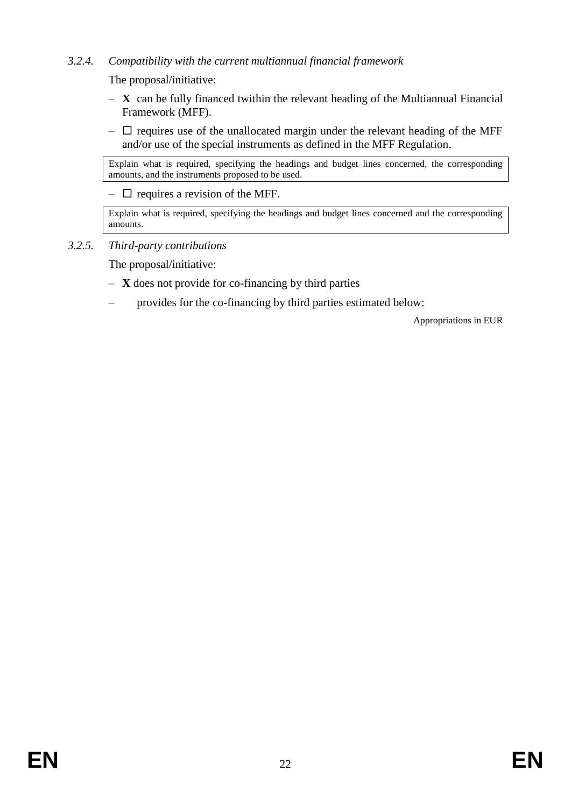### *3.2.4. Compatibility with the current multiannual financial framework*

The proposal/initiative:

- **X** can be fully financed twithin the relevant heading of the Multiannual Financial Framework (MFF).
- $\Box$  requires use of the unallocated margin under the relevant heading of the MFF and/or use of the special instruments as defined in the MFF Regulation.

Explain what is required, specifying the headings and budget lines concerned, the corresponding amounts, and the instruments proposed to be used.

 $\Box$  requires a revision of the MFF.

Explain what is required, specifying the headings and budget lines concerned and the corresponding amounts.

*3.2.5. Third-party contributions* 

The proposal/initiative:

- **X** does not provide for co-financing by third parties
- provides for the co-financing by third parties estimated below:

Appropriations in EUR